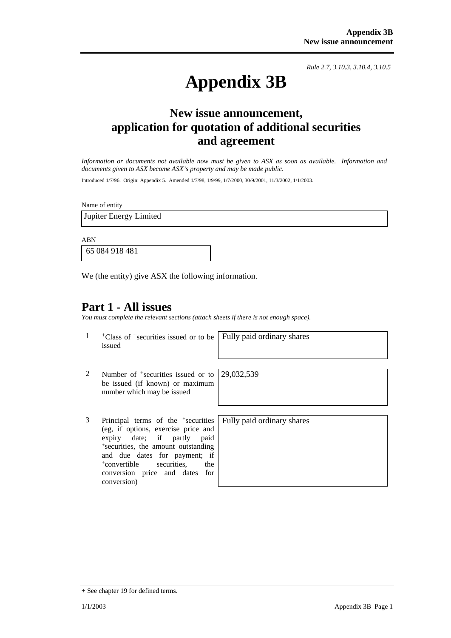*Rule 2.7, 3.10.3, 3.10.4, 3.10.5*

# **Appendix 3B**

# **New issue announcement, application for quotation of additional securities and agreement**

*Information or documents not available now must be given to ASX as soon as available. Information and documents given to ASX become ASX's property and may be made public.* 

Introduced 1/7/96. Origin: Appendix 5. Amended 1/7/98, 1/9/99, 1/7/2000, 30/9/2001, 11/3/2002, 1/1/2003.

Name of entity

Jupiter Energy Limited

ABN

65 084 918 481

We (the entity) give ASX the following information.

## **Part 1 - All issues**

*You must complete the relevant sections (attach sheets if there is not enough space).*

1 +Class of +securities issued or to be issued

Fully paid ordinary shares

- 2 Number of <sup>+</sup>securities issued or to be issued (if known) or maximum number which may be issued
- 3 Principal terms of the +securities (eg, if options, exercise price and expiry date; if partly paid +securities, the amount outstanding and due dates for payment; if +convertible securities, the conversion price and dates for conversion)

Fully paid ordinary shares

29,032,539

<sup>+</sup> See chapter 19 for defined terms.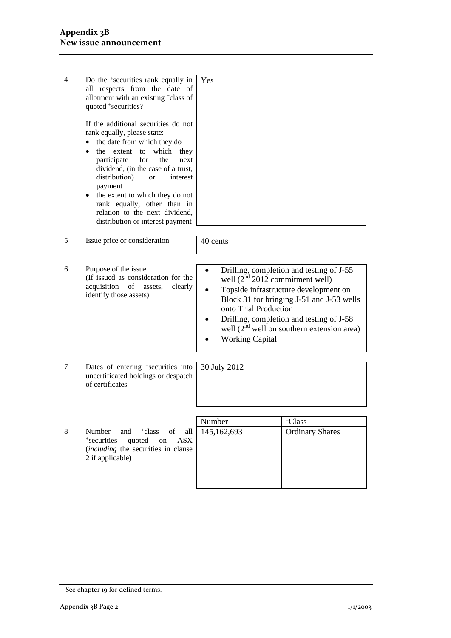| 4 | Do the <sup>+</sup> securities rank equally in<br>all respects from the date of<br>allotment with an existing <sup>+</sup> class of<br>quoted +securities?<br>If the additional securities do not<br>rank equally, please state:<br>the date from which they do<br>which they<br>the extent<br>to<br>$\bullet$<br>participate<br>for<br>the<br>next<br>dividend, (in the case of a trust,<br>distribution)<br>interest<br><sub>or</sub><br>payment<br>the extent to which they do not<br>rank equally, other than in<br>relation to the next dividend,<br>distribution or interest payment | Yes                                                                                                                                                                                                                                                                                                                             |                                  |
|---|--------------------------------------------------------------------------------------------------------------------------------------------------------------------------------------------------------------------------------------------------------------------------------------------------------------------------------------------------------------------------------------------------------------------------------------------------------------------------------------------------------------------------------------------------------------------------------------------|---------------------------------------------------------------------------------------------------------------------------------------------------------------------------------------------------------------------------------------------------------------------------------------------------------------------------------|----------------------------------|
| 5 | Issue price or consideration                                                                                                                                                                                                                                                                                                                                                                                                                                                                                                                                                               | 40 cents                                                                                                                                                                                                                                                                                                                        |                                  |
|   |                                                                                                                                                                                                                                                                                                                                                                                                                                                                                                                                                                                            |                                                                                                                                                                                                                                                                                                                                 |                                  |
| 6 | Purpose of the issue<br>(If issued as consideration for the<br>acquisition<br>clearly<br>of<br>assets,<br>identify those assets)                                                                                                                                                                                                                                                                                                                                                                                                                                                           | Drilling, completion and testing of J-55<br>$\bullet$<br>well $(2nd 2012$ commitment well)<br>Topside infrastructure development on<br>Block 31 for bringing J-51 and J-53 wells<br>onto Trial Production<br>Drilling, completion and testing of J-58<br>well $(2nd$ well on southern extension area)<br><b>Working Capital</b> |                                  |
| 7 | Dates of entering <sup>+</sup> securities into<br>uncertificated holdings or despatch<br>of certificates                                                                                                                                                                                                                                                                                                                                                                                                                                                                                   | 30 July 2012                                                                                                                                                                                                                                                                                                                    |                                  |
|   |                                                                                                                                                                                                                                                                                                                                                                                                                                                                                                                                                                                            |                                                                                                                                                                                                                                                                                                                                 |                                  |
| 8 | and<br>Number<br><sup>+</sup> class<br>of<br>all<br><b>ASX</b><br>+securities<br>quoted<br>on<br>(including the securities in clause<br>2 if applicable)                                                                                                                                                                                                                                                                                                                                                                                                                                   | Number<br>145,162,693                                                                                                                                                                                                                                                                                                           | +Class<br><b>Ordinary Shares</b> |

<sup>+</sup> See chapter 19 for defined terms.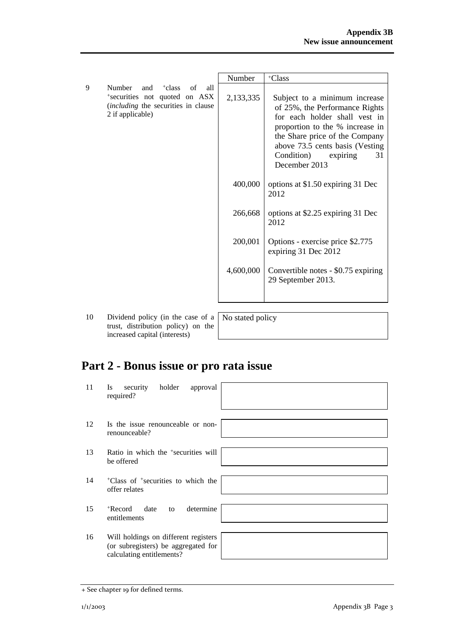|   |                                                                                                                                           | Number    | +Class                                                                                                                                                                                                                                                     |
|---|-------------------------------------------------------------------------------------------------------------------------------------------|-----------|------------------------------------------------------------------------------------------------------------------------------------------------------------------------------------------------------------------------------------------------------------|
| 9 | Number<br>and<br><sup>+</sup> class of<br>all<br>*securities not quoted on ASX<br>(including the securities in clause<br>2 if applicable) | 2,133,335 | Subject to a minimum increase<br>of 25%, the Performance Rights<br>for each holder shall vest in<br>proportion to the % increase in<br>the Share price of the Company<br>above 73.5 cents basis (Vesting)<br>31<br>Condition)<br>expiring<br>December 2013 |
|   |                                                                                                                                           | 400,000   | options at \$1.50 expiring 31 Dec<br>2012                                                                                                                                                                                                                  |
|   |                                                                                                                                           | 266,668   | options at \$2.25 expiring 31 Dec<br>2012                                                                                                                                                                                                                  |
|   |                                                                                                                                           | 200,001   | Options - exercise price \$2.775<br>expiring 31 Dec 2012                                                                                                                                                                                                   |
|   |                                                                                                                                           | 4,600,000 | Convertible notes - \$0.75 expiring<br>29 September 2013.                                                                                                                                                                                                  |

10 Dividend policy (in the case of a trust, distribution policy) on the increased capital (interests)

No stated policy

# **Part 2 - Bonus issue or pro rata issue**

| 11 | holder<br>security<br>approval<br><b>Is</b><br>required?                                                 |
|----|----------------------------------------------------------------------------------------------------------|
| 12 | Is the issue renounceable or non-<br>renounceable?                                                       |
| 13 | Ratio in which the <sup>+</sup> securities will<br>be offered                                            |
| 14 | <sup>+</sup> Class of <sup>+</sup> securities to which the<br>offer relates                              |
| 15 | determine<br>+Record<br>date<br>to<br>entitlements                                                       |
| 16 | Will holdings on different registers<br>(or subregisters) be aggregated for<br>calculating entitlements? |

<sup>+</sup> See chapter 19 for defined terms.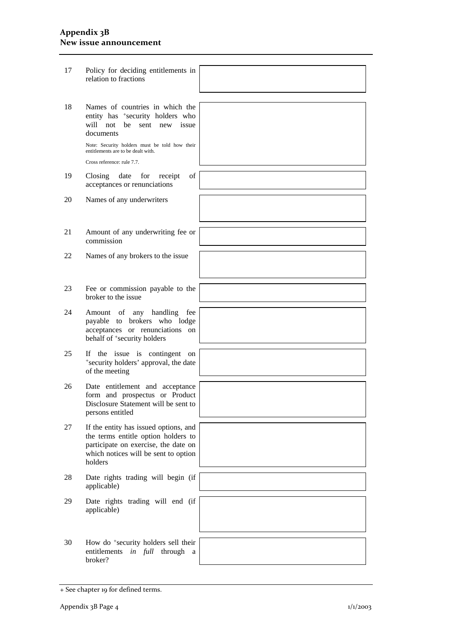#### **Appendix 3B New issue announcement**

| 17 | Policy for deciding entitlements in<br>relation to fractions                                                                                                            |  |
|----|-------------------------------------------------------------------------------------------------------------------------------------------------------------------------|--|
|    |                                                                                                                                                                         |  |
| 18 | Names of countries in which the<br>entity has <sup>+</sup> security holders who<br>will not<br>be sent new<br>issue<br>documents                                        |  |
|    | Note: Security holders must be told how their<br>entitlements are to be dealt with.<br>Cross reference: rule 7.7.                                                       |  |
| 19 | Closing<br>date<br>for<br>οf<br>receipt<br>acceptances or renunciations                                                                                                 |  |
| 20 | Names of any underwriters                                                                                                                                               |  |
| 21 | Amount of any underwriting fee or<br>commission                                                                                                                         |  |
| 22 | Names of any brokers to the issue                                                                                                                                       |  |
| 23 | Fee or commission payable to the<br>broker to the issue                                                                                                                 |  |
| 24 | Amount of any handling<br>fee<br>payable to brokers who lodge<br>acceptances or renunciations on<br>behalf of <sup>+</sup> security holders                             |  |
| 25 | If the issue is contingent on<br>*security holders' approval, the date<br>of the meeting                                                                                |  |
| 26 | Date entitlement and acceptance<br>form and prospectus or Product<br>Disclosure Statement will be sent to<br>persons entitled                                           |  |
| 27 | If the entity has issued options, and<br>the terms entitle option holders to<br>participate on exercise, the date on<br>which notices will be sent to option<br>holders |  |
| 28 | Date rights trading will begin (if<br>applicable)                                                                                                                       |  |
| 29 | Date rights trading will end (if<br>applicable)                                                                                                                         |  |
| 30 | How do <sup>+</sup> security holders sell their<br>entitlements<br>in full<br>through<br>a<br>broker?                                                                   |  |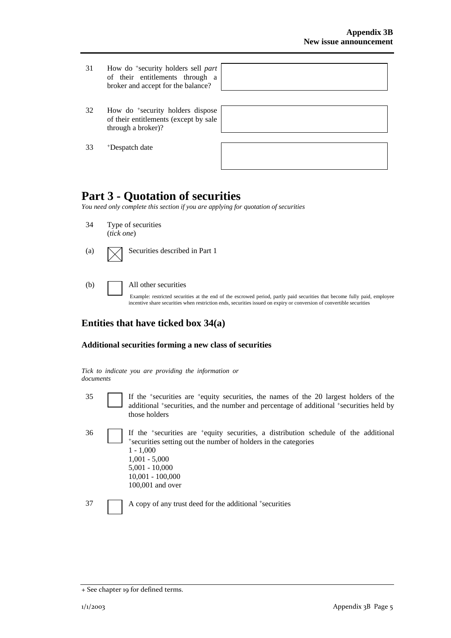- 31 How do +security holders sell *part* of their entitlements through a broker and accept for the balance?
- 32 How do +security holders dispose of their entitlements (except by sale through a broker)?

33 +Despatch date

| the control of the control of the control of the control of the control of the control of the control of the control of the control of the control of the control of the control of the control of the control of the control |  |
|-------------------------------------------------------------------------------------------------------------------------------------------------------------------------------------------------------------------------------|--|
|                                                                                                                                                                                                                               |  |
| and the control of the control of the control of the control of the control of the control of the control of the                                                                                                              |  |
|                                                                                                                                                                                                                               |  |

## **Part 3 - Quotation of securities**

*You need only complete this section if you are applying for quotation of securities* 

34 Type of securities (*tick one*) (a)  $\Box$  Securities described in Part 1 (b) All other securities

> Example: restricted securities at the end of the escrowed period, partly paid securities that become fully paid, employee incentive share securities when restriction ends, securities issued on expiry or conversion of convertible securities

### **Entities that have ticked box 34(a)**

#### **Additional securities forming a new class of securities**

*Tick to indicate you are providing the information or documents*

- 35 If the +securities are +equity securities, the names of the 20 largest holders of the additional +securities, and the number and percentage of additional +securities held by those holders
- $36$  If the +securities are +equity securities, a distribution schedule of the additional +securities setting out the number of holders in the categories 1 - 1,000 1,001 - 5,000 5,001 - 10,000 10,001 - 100,000 100,001 and over

37 A copy of any trust deed for the additional +securities

<sup>+</sup> See chapter 19 for defined terms.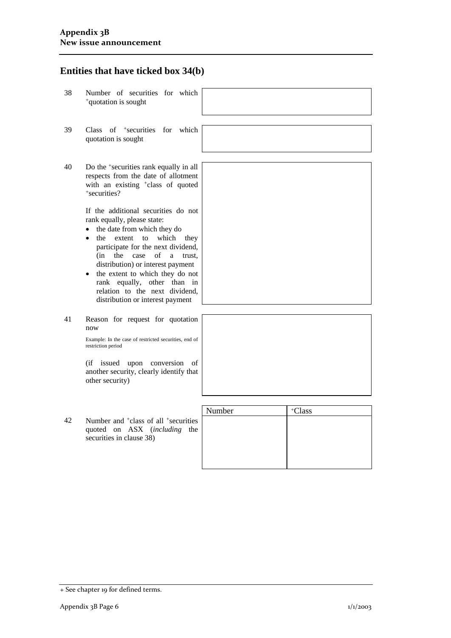## **Entities that have ticked box 34(b)**

38 Number of securities for which +quotation is sought 39 Class of +securities for which quotation is sought 40 Do the +securities rank equally in all respects from the date of allotment with an existing <sup>+</sup>class of quoted +securities? If the additional securities do not

rank equally, please state:

- the date from which they do
- the extent to which they participate for the next dividend, (in the case of a trust, distribution) or interest payment
- the extent to which they do not rank equally, other than in relation to the next dividend, distribution or interest payment
- 41 Reason for request for quotation now

Example: In the case of restricted securities, end of restriction period

(if issued upon conversion of another security, clearly identify that other security)

42 Number and +class of all +securities quoted on ASX (*including* the securities in clause 38)

|    | another security, clearly identify that<br>other security)                                              |        |                    |
|----|---------------------------------------------------------------------------------------------------------|--------|--------------------|
|    |                                                                                                         | Number | <sup>+</sup> Class |
| 42 | Number and <sup>+</sup> class of all <sup>+</sup> securities<br>quoted on ASX ( <i>including</i><br>the |        |                    |

<sup>+</sup> See chapter 19 for defined terms.